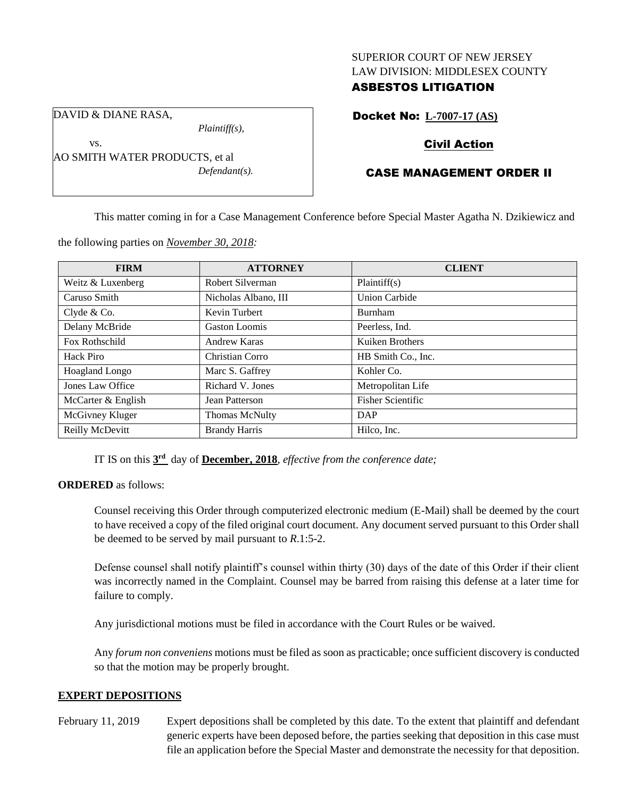#### SUPERIOR COURT OF NEW JERSEY LAW DIVISION: MIDDLESEX COUNTY

### ASBESTOS LITIGATION

DAVID & DIANE RASA,

vs.

*Plaintiff(s),*

AO SMITH WATER PRODUCTS, et al *Defendant(s).* Docket No: **L-7007-17 (AS)**

## Civil Action

# CASE MANAGEMENT ORDER II

This matter coming in for a Case Management Conference before Special Master Agatha N. Dzikiewicz and

the following parties on *November 30, 2018:*

| <b>FIRM</b>           | <b>ATTORNEY</b>       | <b>CLIENT</b>            |
|-----------------------|-----------------------|--------------------------|
| Weitz & Luxenberg     | Robert Silverman      | Plaintiff(s)             |
| Caruso Smith          | Nicholas Albano, III  | <b>Union Carbide</b>     |
| Clyde & Co.           | Kevin Turbert         | <b>Burnham</b>           |
| Delany McBride        | <b>Gaston Loomis</b>  | Peerless, Ind.           |
| Fox Rothschild        | Andrew Karas          | Kuiken Brothers          |
| Hack Piro             | Christian Corro       | HB Smith Co., Inc.       |
| <b>Hoagland Longo</b> | Marc S. Gaffrey       | Kohler Co.               |
| Jones Law Office      | Richard V. Jones      | Metropolitan Life        |
| McCarter & English    | Jean Patterson        | <b>Fisher Scientific</b> |
| McGivney Kluger       | <b>Thomas McNulty</b> | <b>DAP</b>               |
| Reilly McDevitt       | <b>Brandy Harris</b>  | Hilco, Inc.              |

IT IS on this **3 rd** day of **December, 2018**, *effective from the conference date;*

### **ORDERED** as follows:

Counsel receiving this Order through computerized electronic medium (E-Mail) shall be deemed by the court to have received a copy of the filed original court document. Any document served pursuant to this Order shall be deemed to be served by mail pursuant to *R*.1:5-2.

Defense counsel shall notify plaintiff's counsel within thirty (30) days of the date of this Order if their client was incorrectly named in the Complaint. Counsel may be barred from raising this defense at a later time for failure to comply.

Any jurisdictional motions must be filed in accordance with the Court Rules or be waived.

Any *forum non conveniens* motions must be filed as soon as practicable; once sufficient discovery is conducted so that the motion may be properly brought.

### **EXPERT DEPOSITIONS**

February 11, 2019 Expert depositions shall be completed by this date. To the extent that plaintiff and defendant generic experts have been deposed before, the parties seeking that deposition in this case must file an application before the Special Master and demonstrate the necessity for that deposition.